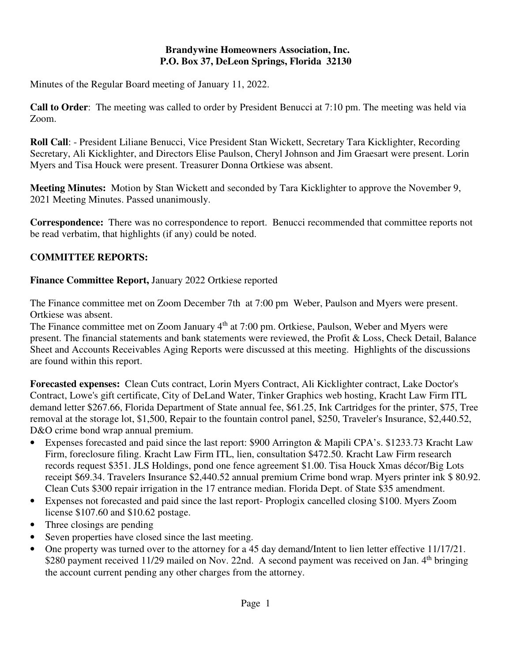#### **Brandywine Homeowners Association, Inc. P.O. Box 37, DeLeon Springs, Florida 32130**

Minutes of the Regular Board meeting of January 11, 2022.

**Call to Order**: The meeting was called to order by President Benucci at 7:10 pm. The meeting was held via Zoom.

**Roll Call**: - President Liliane Benucci, Vice President Stan Wickett, Secretary Tara Kicklighter, Recording Secretary, Ali Kicklighter, and Directors Elise Paulson, Cheryl Johnson and Jim Graesart were present. Lorin Myers and Tisa Houck were present. Treasurer Donna Ortkiese was absent.

**Meeting Minutes:** Motion by Stan Wickett and seconded by Tara Kicklighter to approve the November 9, 2021 Meeting Minutes. Passed unanimously.

**Correspondence:** There was no correspondence to report. Benucci recommended that committee reports not be read verbatim, that highlights (if any) could be noted.

# **COMMITTEE REPORTS:**

**Finance Committee Report,** January 2022 Ortkiese reported

The Finance committee met on Zoom December 7th at 7:00 pm Weber, Paulson and Myers were present. Ortkiese was absent.

The Finance committee met on Zoom January 4<sup>th</sup> at 7:00 pm. Ortkiese, Paulson, Weber and Myers were present. The financial statements and bank statements were reviewed, the Profit & Loss, Check Detail, Balance Sheet and Accounts Receivables Aging Reports were discussed at this meeting. Highlights of the discussions are found within this report.

**Forecasted expenses:** Clean Cuts contract, Lorin Myers Contract, Ali Kicklighter contract, Lake Doctor's Contract, Lowe's gift certificate, City of DeLand Water, Tinker Graphics web hosting, Kracht Law Firm ITL demand letter \$267.66, Florida Department of State annual fee, \$61.25, Ink Cartridges for the printer, \$75, Tree removal at the storage lot, \$1,500, Repair to the fountain control panel, \$250, Traveler's Insurance, \$2,440.52, D&O crime bond wrap annual premium.

- Expenses forecasted and paid since the last report: \$900 Arrington & Mapili CPA's. \$1233.73 Kracht Law Firm, foreclosure filing. Kracht Law Firm ITL, lien, consultation \$472.50. Kracht Law Firm research records request \$351. JLS Holdings, pond one fence agreement \$1.00. Tisa Houck Xmas décor/Big Lots receipt \$69.34. Travelers Insurance \$2,440.52 annual premium Crime bond wrap. Myers printer ink \$ 80.92. Clean Cuts \$300 repair irrigation in the 17 entrance median. Florida Dept. of State \$35 amendment.
- Expenses not forecasted and paid since the last report- Proplogix cancelled closing \$100. Myers Zoom license \$107.60 and \$10.62 postage.
- Three closings are pending
- Seven properties have closed since the last meeting.
- One property was turned over to the attorney for a 45 day demand/Intent to lien letter effective 11/17/21. \$280 payment received 11/29 mailed on Nov. 22nd. A second payment was received on Jan. 4<sup>th</sup> bringing the account current pending any other charges from the attorney.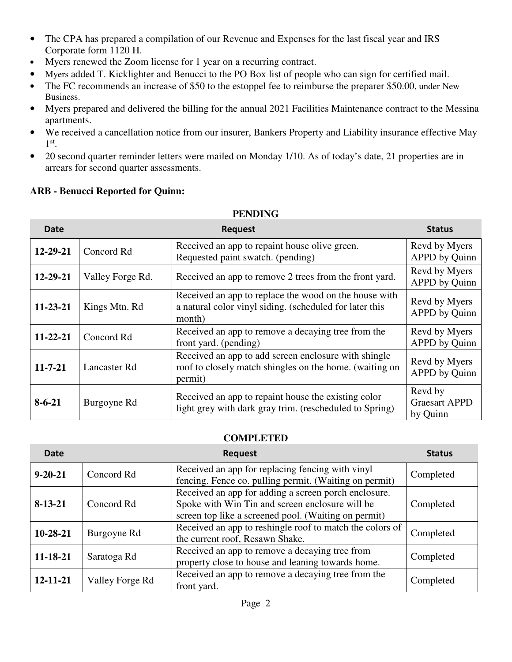- The CPA has prepared a compilation of our Revenue and Expenses for the last fiscal year and IRS Corporate form 1120 H.
- Myers renewed the Zoom license for 1 year on a recurring contract.
- Myers added T. Kicklighter and Benucci to the PO Box list of people who can sign for certified mail.
- The FC recommends an increase of \$50 to the estoppel fee to reimburse the preparer \$50.00, under New Business.
- Myers prepared and delivered the billing for the annual 2021 Facilities Maintenance contract to the Messina apartments.
- We received a cancellation notice from our insurer, Bankers Property and Liability insurance effective May 1 st .
- 20 second quarter reminder letters were mailed on Monday 1/10. As of today's date, 21 properties are in arrears for second quarter assessments.

## **ARB - Benucci Reported for Quinn:**

| Date           |                  | <b>Request</b>                                                                                                             | <b>Status</b>                               |
|----------------|------------------|----------------------------------------------------------------------------------------------------------------------------|---------------------------------------------|
| $12 - 29 - 21$ | Concord Rd       | Received an app to repaint house olive green.<br>Requested paint swatch. (pending)                                         | Revd by Myers<br><b>APPD</b> by Quinn       |
| 12-29-21       | Valley Forge Rd. | Received an app to remove 2 trees from the front yard.                                                                     | Revd by Myers<br>APPD by Quinn              |
| 11-23-21       | Kings Mtn. Rd    | Received an app to replace the wood on the house with<br>a natural color vinyl siding. (scheduled for later this<br>month) | Revd by Myers<br>APPD by Quinn              |
| $11 - 22 - 21$ | Concord Rd       | Received an app to remove a decaying tree from the<br>front yard. (pending)                                                | Revd by Myers<br><b>APPD</b> by Quinn       |
| $11 - 7 - 21$  | Lancaster Rd     | Received an app to add screen enclosure with shingle<br>roof to closely match shingles on the home. (waiting on<br>permit) | Revd by Myers<br>APPD by Quinn              |
| $8 - 6 - 21$   | Burgoyne Rd      | Received an app to repaint house the existing color<br>light grey with dark gray trim. (rescheduled to Spring)             | Revd by<br><b>Graesart APPD</b><br>by Quinn |

#### **PENDING**

#### **COMPLETED**

| Date           |                 | <b>Request</b>                                                                                                                                                  | <b>Status</b> |
|----------------|-----------------|-----------------------------------------------------------------------------------------------------------------------------------------------------------------|---------------|
| $9 - 20 - 21$  | Concord Rd      | Received an app for replacing fencing with vinyl<br>fencing. Fence co. pulling permit. (Waiting on permit)                                                      | Completed     |
| $8 - 13 - 21$  | Concord Rd      | Received an app for adding a screen porch enclosure.<br>Spoke with Win Tin and screen enclosure will be<br>screen top like a screened pool. (Waiting on permit) | Completed     |
| $10-28-21$     | Burgoyne Rd     | Received an app to reshingle roof to match the colors of<br>the current roof, Resawn Shake.                                                                     | Completed     |
| $11 - 18 - 21$ | Saratoga Rd     | Received an app to remove a decaying tree from<br>property close to house and leaning towards home.                                                             | Completed     |
| $12 - 11 - 21$ | Valley Forge Rd | Received an app to remove a decaying tree from the<br>front yard.                                                                                               | Completed     |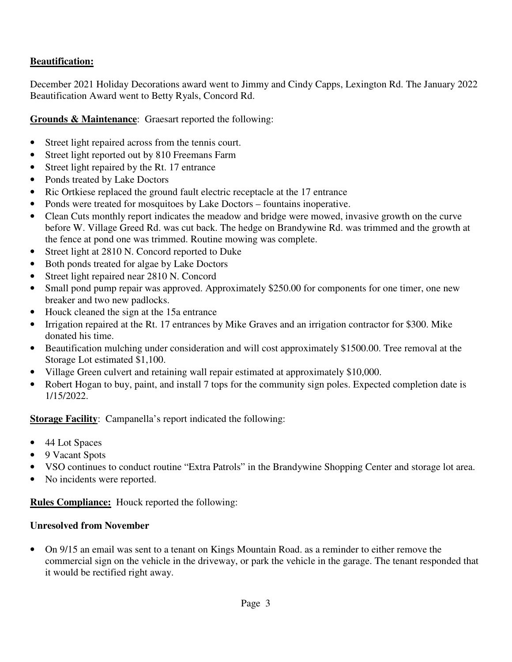## **Beautification:**

December 2021 Holiday Decorations award went to Jimmy and Cindy Capps, Lexington Rd. The January 2022 Beautification Award went to Betty Ryals, Concord Rd.

**Grounds & Maintenance**: Graesart reported the following:

- Street light repaired across from the tennis court.
- Street light reported out by 810 Freemans Farm
- Street light repaired by the Rt. 17 entrance
- Ponds treated by Lake Doctors
- Ric Ortkiese replaced the ground fault electric receptacle at the 17 entrance
- Ponds were treated for mosquitoes by Lake Doctors fountains inoperative.
- Clean Cuts monthly report indicates the meadow and bridge were mowed, invasive growth on the curve before W. Village Greed Rd. was cut back. The hedge on Brandywine Rd. was trimmed and the growth at the fence at pond one was trimmed. Routine mowing was complete.
- Street light at 2810 N. Concord reported to Duke
- Both ponds treated for algae by Lake Doctors
- Street light repaired near 2810 N. Concord
- Small pond pump repair was approved. Approximately \$250.00 for components for one timer, one new breaker and two new padlocks.
- Houck cleaned the sign at the 15a entrance
- Irrigation repaired at the Rt. 17 entrances by Mike Graves and an irrigation contractor for \$300. Mike donated his time.
- Beautification mulching under consideration and will cost approximately \$1500.00. Tree removal at the Storage Lot estimated \$1,100.
- Village Green culvert and retaining wall repair estimated at approximately \$10,000.
- Robert Hogan to buy, paint, and install 7 tops for the community sign poles. Expected completion date is 1/15/2022.

**Storage Facility**: Campanella's report indicated the following:

- 44 Lot Spaces
- 9 Vacant Spots
- VSO continues to conduct routine "Extra Patrols" in the Brandywine Shopping Center and storage lot area.
- No incidents were reported.

**Rules Compliance:** Houck reported the following:

### **Unresolved from November**

• On 9/15 an email was sent to a tenant on Kings Mountain Road. as a reminder to either remove the commercial sign on the vehicle in the driveway, or park the vehicle in the garage. The tenant responded that it would be rectified right away.